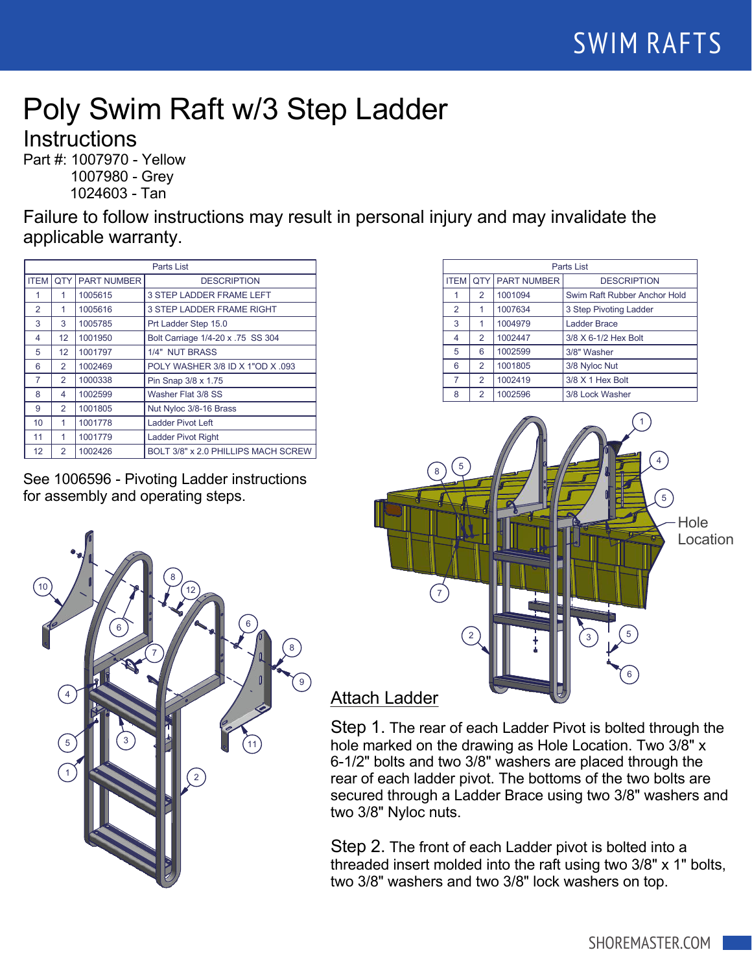## Poly Swim Raft w/3 Step Ladder

**Instructions** 

Part #: 1007970 - Yellow 1007980 - Grey 1024603 - Tan

Failure to follow instructions may result in personal injury and may invalidate the applicable warranty.

| Parts List      |                |                    |                                     |  |
|-----------------|----------------|--------------------|-------------------------------------|--|
| <b>ITEM</b>     | <b>OTY</b>     | <b>PART NUMBER</b> | <b>DESCRIPTION</b>                  |  |
|                 | 1              | 1005615            | 3 STEP LADDER FRAME LEFT            |  |
| 2               | 1              | 1005616            | <b>3 STEP LADDER FRAME RIGHT</b>    |  |
| 3               | 3              | 1005785            | Prt Ladder Step 15.0                |  |
| 4               | 12             | 1001950            | Bolt Carriage 1/4-20 x .75 SS 304   |  |
| 5               | 12             | 1001797            | 1/4" NUT BRASS                      |  |
| 6               | 2              | 1002469            | POLY WASHER 3/8 ID X 1"OD X .093    |  |
| 7               | $\overline{2}$ | 1000338            | Pin Snap 3/8 x 1.75                 |  |
| 8               | 4              | 1002599            | Washer Flat 3/8 SS                  |  |
| 9               | $\overline{2}$ | 1001805            | Nut Nyloc 3/8-16 Brass              |  |
| 10              | 1              | 1001778            | <b>Ladder Pivot Left</b>            |  |
| 11              | 1              | 1001779            | <b>Ladder Pivot Right</b>           |  |
| 12 <sup>2</sup> | $\overline{2}$ | 1002426            | BOLT 3/8" x 2.0 PHILLIPS MACH SCREW |  |

See 1006596 - Pivoting Ladder instructions for assembly and operating steps.



| Parts List     |                |                             |                              |  |
|----------------|----------------|-----------------------------|------------------------------|--|
|                |                | <b>ITEM QTY PART NUMBER</b> | <b>DESCRIPTION</b>           |  |
|                | 2              | 1001094                     | Swim Raft Rubber Anchor Hold |  |
| $\overline{2}$ |                | 1007634                     | 3 Step Pivoting Ladder       |  |
| 3              | 1              | 1004979                     | <b>Ladder Brace</b>          |  |
| 4              | 2              | 1002447                     | 3/8 X 6-1/2 Hex Bolt         |  |
| 5              | 6              | 1002599                     | 3/8" Washer                  |  |
| 6              | 2              | 1001805                     | 3/8 Nyloc Nut                |  |
| $\overline{7}$ | 2              | 1002419                     | 3/8 X 1 Hex Bolt             |  |
| 8              | $\overline{2}$ | 1002596                     | 3/8 Lock Washer              |  |
|                |                |                             |                              |  |



## Attach Ladder

Step 1. The rear of each Ladder Pivot is bolted through the hole marked on the drawing as Hole Location. Two 3/8" x 6-1/2" bolts and two 3/8" washers are placed through the rear of each ladder pivot. The bottoms of the two bolts are secured through a Ladder Brace using two 3/8" washers and two 3/8" Nyloc nuts.

Step 2. The front of each Ladder pivot is bolted into a threaded insert molded into the raft using two 3/8" x 1" bolts, two 3/8" washers and two 3/8" lock washers on top.